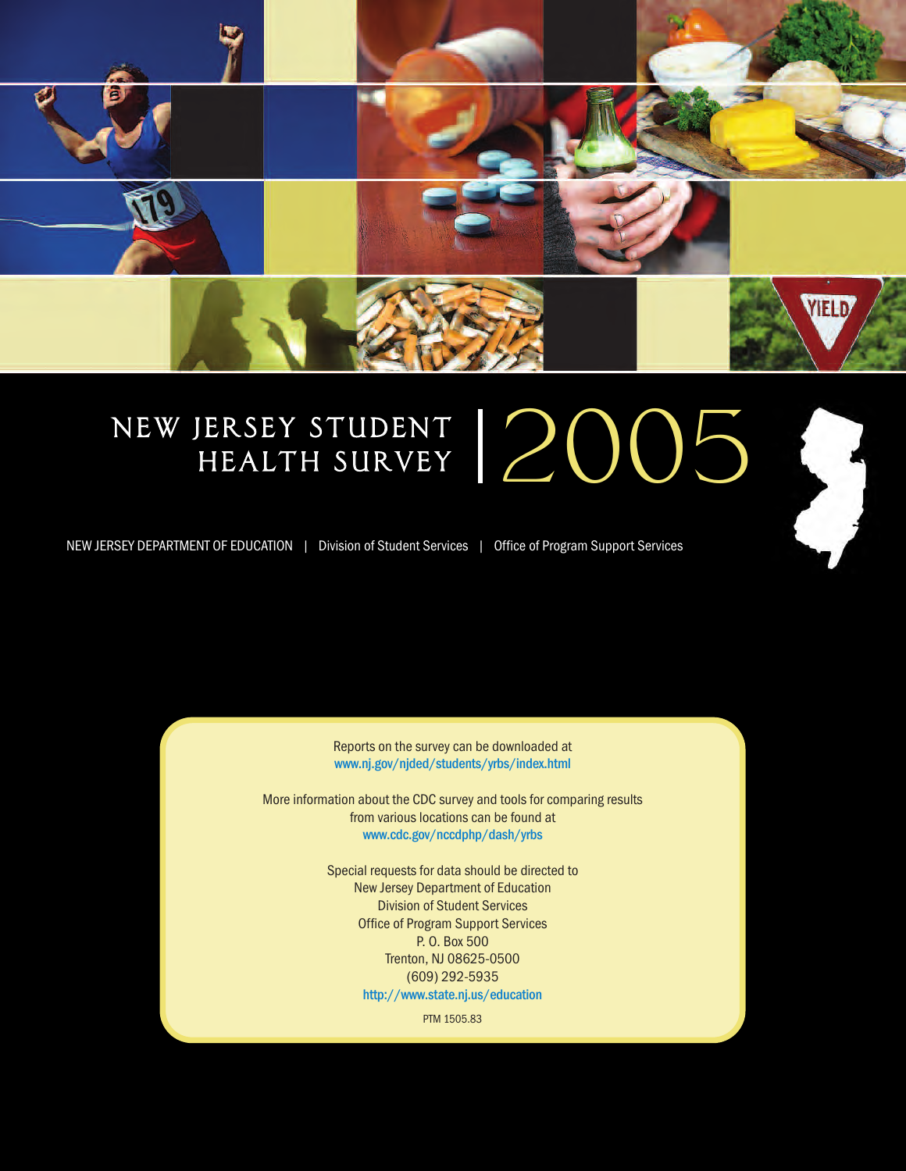

# NEW JERSEY STUDENT ERSEY STUDENT | 2005



NEW JERSEY DEPARTMENT OF EDUCATION | Division of Student Services | Office of Program Support Services

Reports on the survey can be downloaded at **www.nj.gov/njded/students/yrbs/index.html**

More information about the CDC survey and tools for comparing results from various locations can be found at **www.cdc.gov/nccdphp/dash/yrbs**

> Special requests for data should be directed to New Jersey Department of Education Division of Student Services Office of Program Support Services P. O. Box 500 Trenton, NJ 08625-0500 (609) 292-5935 **http://www.state.nj.us/education**

> > PTM 1505.83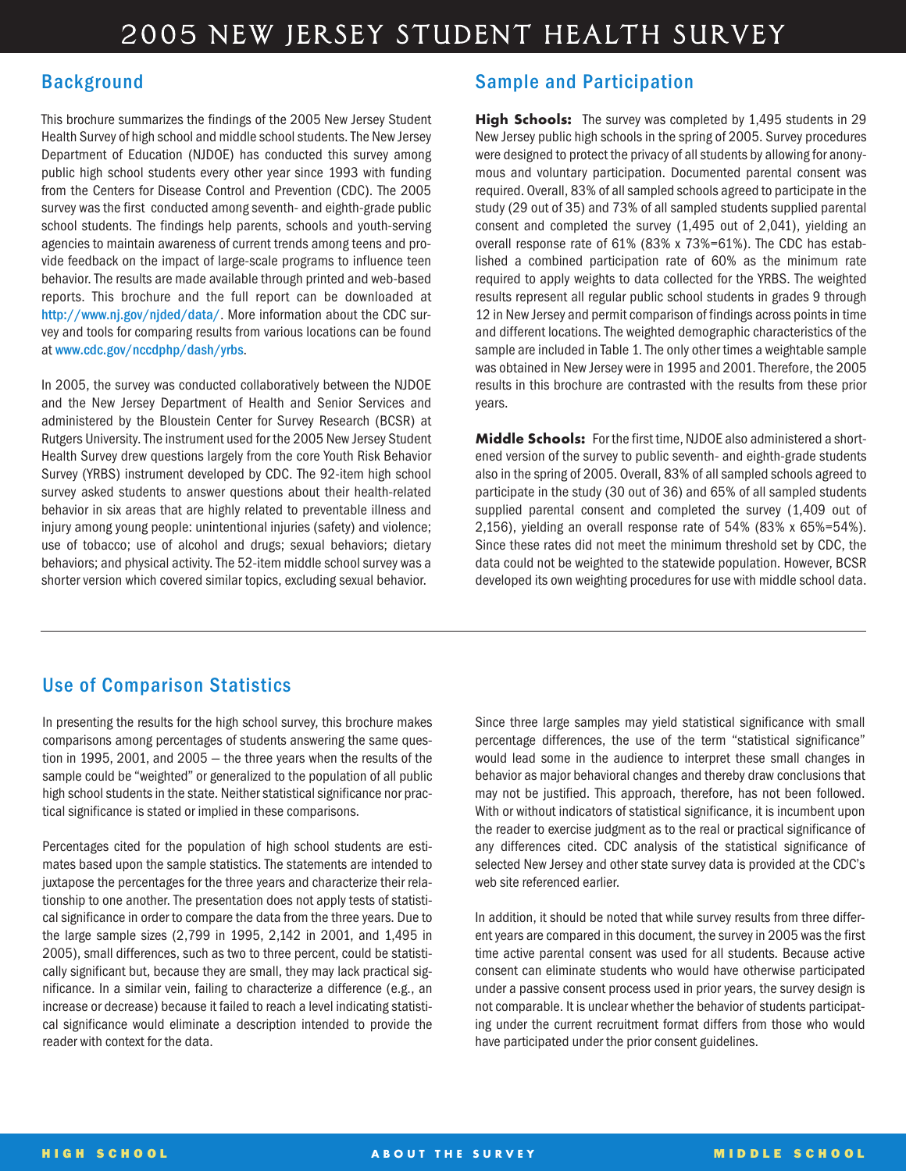### **Background**

This brochure summarizes the findings of the 2005 New Jersey Student Health Survey of high school and middle school students. The New Jersey Department of Education (NJDOE) has conducted this survey among public high school students every other year since 1993 with funding from the Centers for Disease Control and Prevention (CDC). The 2005 survey was the first conducted among seventh- and eighth-grade public school students. The findings help parents, schools and youth-serving agencies to maintain awareness of current trends among teens and provide feedback on the impact of large-scale programs to influence teen behavior. The results are made available through printed and web-based reports. This brochure and the full report can be downloaded at **http://www.nj.gov/njded/data/**. More information about the CDC survey and tools for comparing results from various locations can be found at **www.cdc.gov/nccdphp/dash/yrbs**.

In 2005, the survey was conducted collaboratively between the NJDOE and the New Jersey Department of Health and Senior Services and administered by the Bloustein Center for Survey Research (BCSR) at Rutgers University. The instrument used for the 2005 New Jersey Student Health Survey drew questions largely from the core Youth Risk Behavior Survey (YRBS) instrument developed by CDC. The 92-item high school survey asked students to answer questions about their health-related behavior in six areas that are highly related to preventable illness and injury among young people: unintentional injuries (safety) and violence; use of tobacco; use of alcohol and drugs; sexual behaviors; dietary behaviors; and physical activity. The 52-item middle school survey was a shorter version which covered similar topics, excluding sexual behavior.

### **Sample and Participation**

**High Schools:** The survey was completed by 1,495 students in 29 New Jersey public high schools in the spring of 2005. Survey procedures were designed to protect the privacy of all students by allowing for anonymous and voluntary participation. Documented parental consent was required. Overall, 83% of all sampled schools agreed to participate in the study (29 out of 35) and 73% of all sampled students supplied parental consent and completed the survey (1,495 out of 2,041), yielding an overall response rate of 61% (83% x 73%=61%). The CDC has established a combined participation rate of 60% as the minimum rate required to apply weights to data collected for the YRBS. The weighted results represent all regular public school students in grades 9 through 12 in New Jersey and permit comparison of findings across points in time and different locations. The weighted demographic characteristics of the sample are included in Table 1. The only other times a weightable sample was obtained in New Jersey were in 1995 and 2001. Therefore, the 2005 results in this brochure are contrasted with the results from these prior years.

**Middle Schools:** For the first time, NJDOE also administered a shortened version of the survey to public seventh- and eighth-grade students also in the spring of 2005. Overall, 83% of all sampled schools agreed to participate in the study (30 out of 36) and 65% of all sampled students supplied parental consent and completed the survey (1,409 out of 2,156), yielding an overall response rate of 54% (83% x 65%=54%). Since these rates did not meet the minimum threshold set by CDC, the data could not be weighted to the statewide population. However, BCSR developed its own weighting procedures for use with middle school data.

### **Use of Comparison Statistics**

In presenting the results for the high school survey, this brochure makes comparisons among percentages of students answering the same question in 1995, 2001, and 2005 — the three years when the results of the sample could be "weighted" or generalized to the population of all public high school students in the state. Neither statistical significance nor practical significance is stated or implied in these comparisons.

Percentages cited for the population of high school students are estimates based upon the sample statistics. The statements are intended to juxtapose the percentages for the three years and characterize their relationship to one another. The presentation does not apply tests of statistical significance in order to compare the data from the three years. Due to the large sample sizes (2,799 in 1995, 2,142 in 2001, and 1,495 in 2005), small differences, such as two to three percent, could be statistically significant but, because they are small, they may lack practical significance. In a similar vein, failing to characterize a difference (e.g., an increase or decrease) because it failed to reach a level indicating statistical significance would eliminate a description intended to provide the reader with context for the data.

Since three large samples may yield statistical significance with small percentage differences, the use of the term "statistical significance" would lead some in the audience to interpret these small changes in behavior as major behavioral changes and thereby draw conclusions that may not be justified. This approach, therefore, has not been followed. With or without indicators of statistical significance, it is incumbent upon the reader to exercise judgment as to the real or practical significance of any differences cited. CDC analysis of the statistical significance of selected New Jersey and other state survey data is provided at the CDC's web site referenced earlier.

In addition, it should be noted that while survey results from three different years are compared in this document, the survey in 2005 was the first time active parental consent was used for all students. Because active consent can eliminate students who would have otherwise participated under a passive consent process used in prior years, the survey design is not comparable. It is unclear whether the behavior of students participating under the current recruitment format differs from those who would have participated under the prior consent guidelines.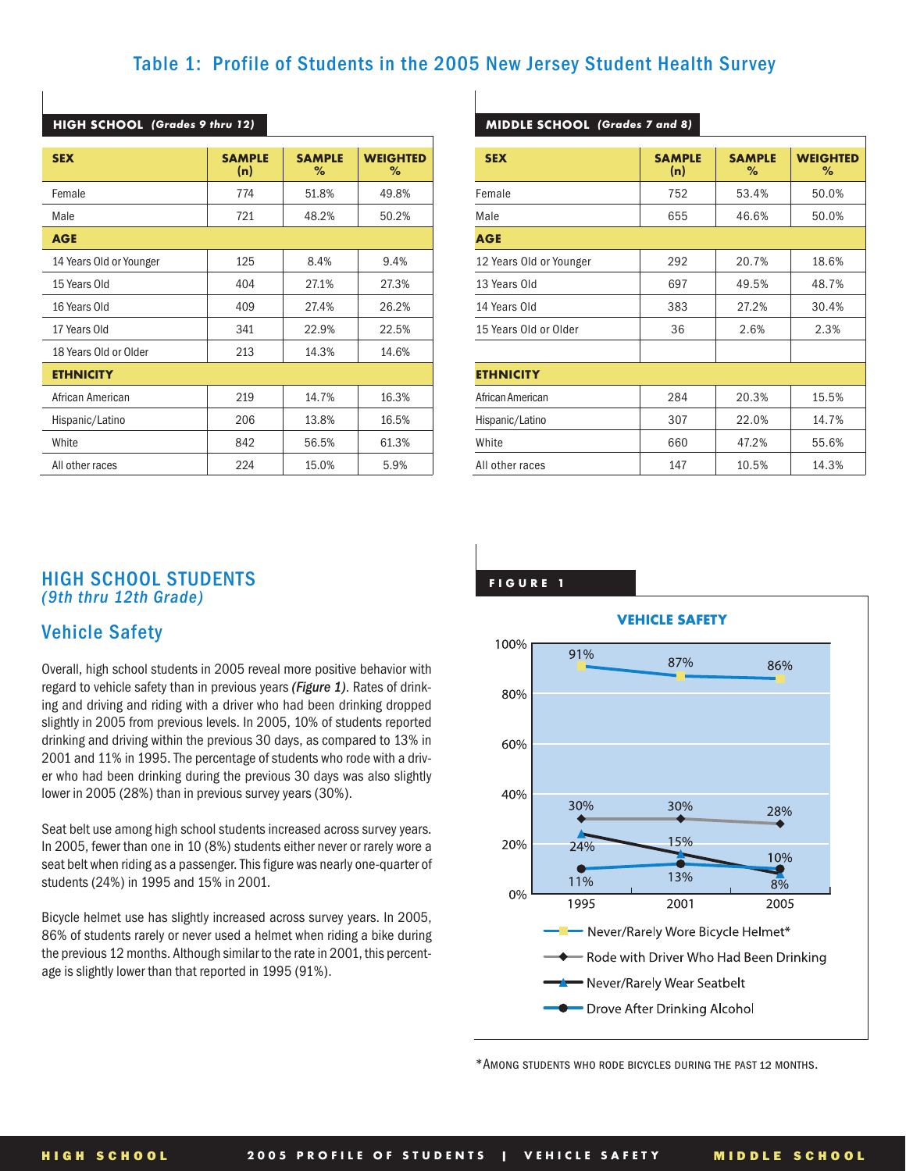### **Table 1: Profile of Students in the 2005 New Jersey Student Health Survey**

| <b>SEX</b>              | <b>SAMPLE</b><br>(n) | <b>SAMPLE</b><br>℀ | <b>WEIGHTED</b><br>% |  |
|-------------------------|----------------------|--------------------|----------------------|--|
| Female                  | 774                  | 51.8%              | 49.8%                |  |
| Male                    | 721                  | 48.2%              | 50.2%                |  |
| <b>AGE</b>              |                      |                    |                      |  |
| 14 Years Old or Younger | 125                  | 8.4%               | 9.4%                 |  |
| 15 Years Old            | 404                  | 27.1%              | 27.3%                |  |
| 16 Years Old            | 409                  | 27.4%              | 26.2%                |  |
| 17 Years Old            | 341                  | 22.9%              | 22.5%                |  |
| 18 Years Old or Older   | 213                  | 14.3%              | 14.6%                |  |
| <b>ETHNICITY</b>        |                      |                    |                      |  |
| African American        | 219                  | 14.7%              | 16.3%                |  |
| Hispanic/Latino         | 206                  | 13.8%              | 16.5%                |  |
| White                   | 842                  | 56.5%              | 61.3%                |  |
| All other races         | 224                  | 15.0%              | 5.9%                 |  |

#### **HIGH SCHOOL** *(Grades 9 thru 12)*

#### **MIDDLE SCHOOL** *(Grades 7 and 8)*

| <b>SEX</b>              | <b>SAMPLE</b><br>(n) | <b>SAMPLE</b><br>% | <b>WEIGHTED</b><br>℅ |
|-------------------------|----------------------|--------------------|----------------------|
| Female                  | 752                  | 53.4%              | 50.0%                |
| Male                    | 655                  | 46.6%              | 50.0%                |
| <b>AGE</b>              |                      |                    |                      |
| 12 Years Old or Younger | 292                  | 20.7%              | 18.6%                |
| 13 Years Old            | 697                  | 49.5%              | 48.7%                |
| 14 Years Old            | 383                  | 27.2%              | 30.4%                |
| 15 Years Old or Older   | 36                   | 2.6%               | 2.3%                 |
|                         |                      |                    |                      |
| <b>ETHNICITY</b>        |                      |                    |                      |
| African American        | 284                  | 20.3%              | 15.5%                |
| Hispanic/Latino         | 307                  | 22.0%              | 14.7%                |
| White                   | 660                  | 47.2%              | 55.6%                |
| All other races         | 147                  | 10.5%              | 14.3%                |

### **HIGH SCHOOL STUDENTS** *(9th thru 12th Grade)*

### **Vehicle Safety**

Overall, high school students in 2005 reveal more positive behavior with regard to vehicle safety than in previous years *(Figure 1)*. Rates of drinking and driving and riding with a driver who had been drinking dropped slightly in 2005 from previous levels. In 2005, 10% of students reported drinking and driving within the previous 30 days, as compared to 13% in 2001 and 11% in 1995. The percentage of students who rode with a driver who had been drinking during the previous 30 days was also slightly lower in 2005 (28%) than in previous survey years (30%).

Seat belt use among high school students increased across survey years. In 2005, fewer than one in 10 (8%) students either never or rarely wore a seat belt when riding as a passenger. This figure was nearly one-quarter of students (24%) in 1995 and 15% in 2001.

Bicycle helmet use has slightly increased across survey years. In 2005, 86% of students rarely or never used a helmet when riding a bike during the previous 12 months. Although similar to the rate in 2001, this percentage is slightly lower than that reported in 1995 (91%).

**FIGURE 1**



\*Among students who rode bicycles during the past 12 months.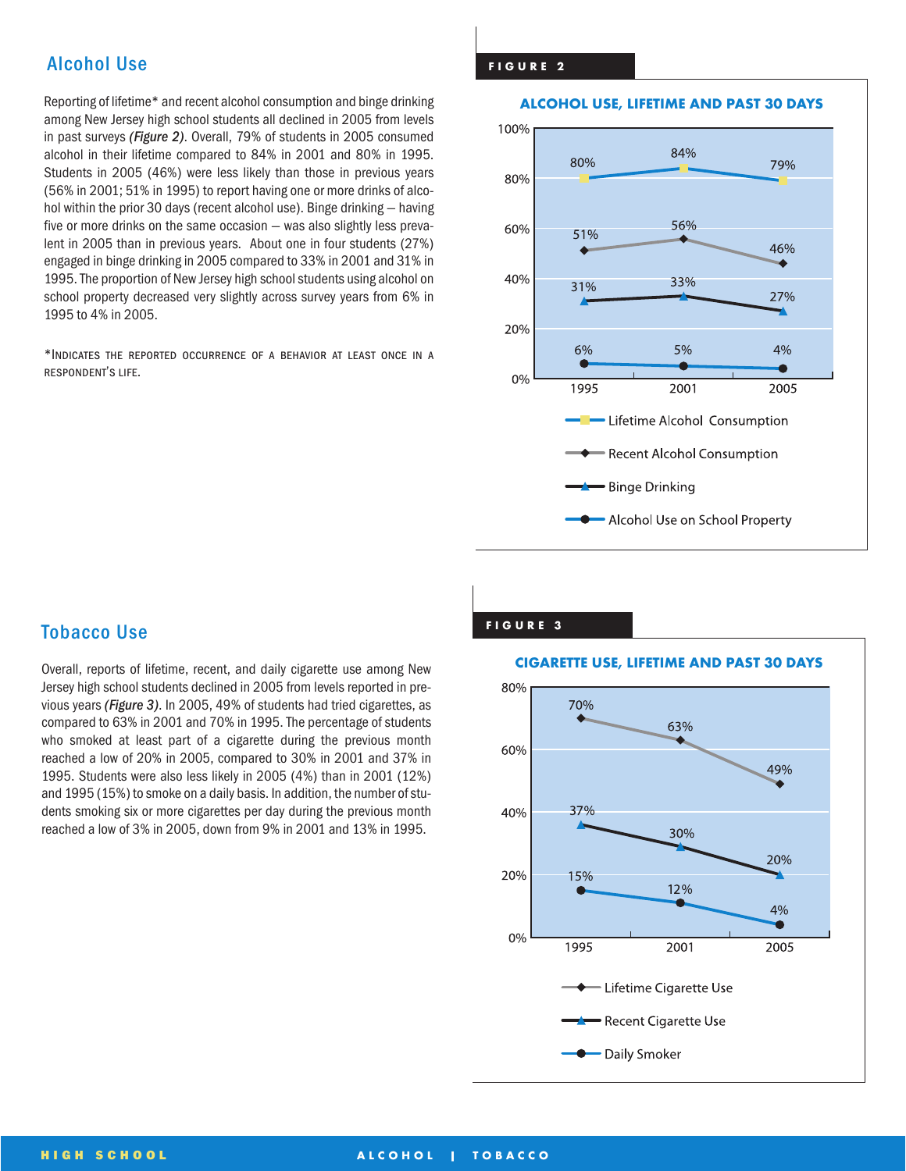### **Alcohol Use**

Reporting of lifetime\* and recent alcohol consumption and binge drinking among New Jersey high school students all declined in 2005 from levels in past surveys *(Figure 2)*. Overall, 79% of students in 2005 consumed alcohol in their lifetime compared to 84% in 2001 and 80% in 1995. Students in 2005 (46%) were less likely than those in previous years (56% in 2001; 51% in 1995) to report having one or more drinks of alcohol within the prior 30 days (recent alcohol use). Binge drinking — having five or more drinks on the same occasion — was also slightly less prevalent in 2005 than in previous years. About one in four students (27%) engaged in binge drinking in 2005 compared to 33% in 2001 and 31% in 1995. The proportion of New Jersey high school students using alcohol on school property decreased very slightly across survey years from 6% in 1995 to 4% in 2005.

\*Indicates the reported occurrence of a behavior at least once in a respondent's life.

#### **FIGURE 2**

#### **ALCOHOL USE, LIFETIME AND PAST 30 DAYS**



**FIGURE 3**

### **Tobacco Use**

Overall, reports of lifetime, recent, and daily cigarette use among New Jersey high school students declined in 2005 from levels reported in previous years *(Figure 3)*. In 2005, 49% of students had tried cigarettes, as compared to 63% in 2001 and 70% in 1995. The percentage of students who smoked at least part of a cigarette during the previous month reached a low of 20% in 2005, compared to 30% in 2001 and 37% in 1995. Students were also less likely in 2005 (4%) than in 2001 (12%) and 1995 (15%) to smoke on a daily basis. In addition, the number of students smoking six or more cigarettes per day during the previous month reached a low of 3% in 2005, down from 9% in 2001 and 13% in 1995.

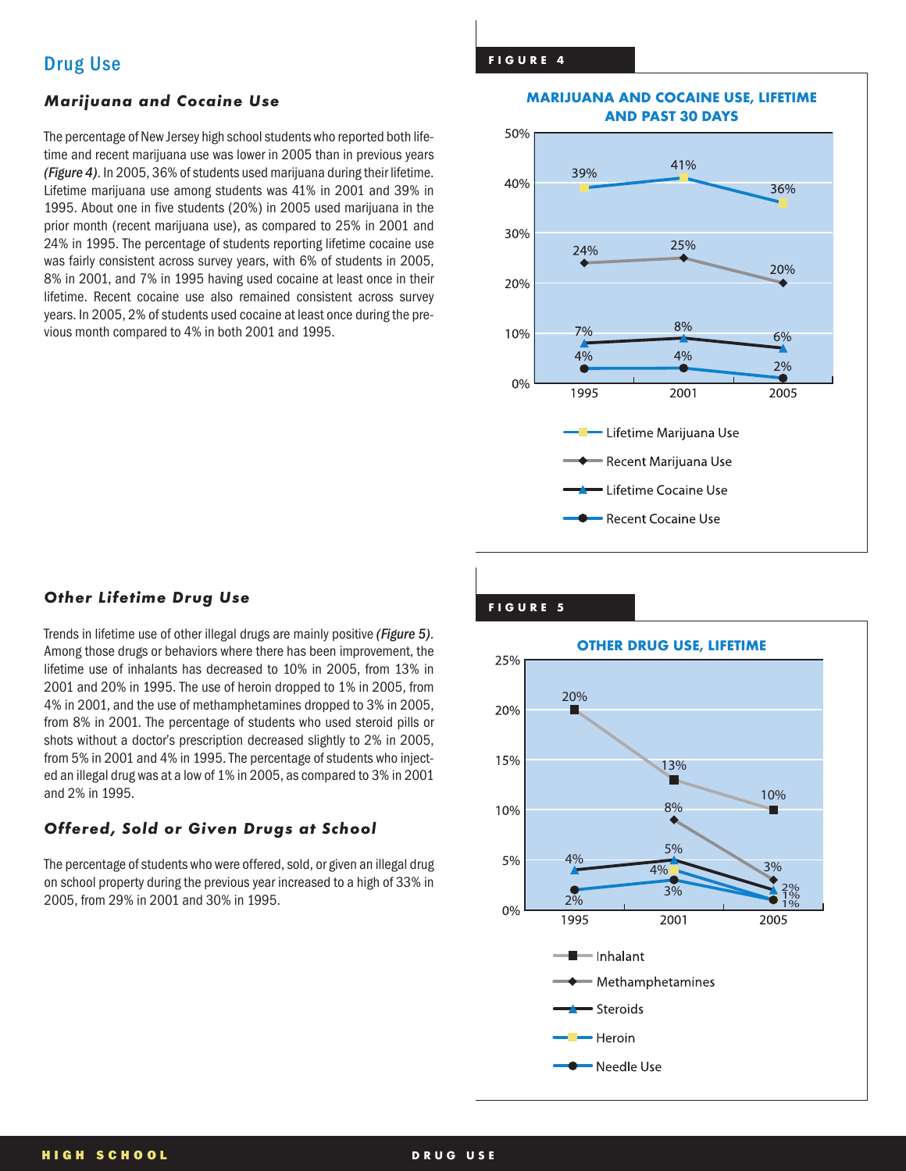### *Marijuana and Cocaine Use*

The percentage of New Jersey high school students who reported both lifetime and recent marijuana use was lower in 2005 than in previous years *(Figure 4)*. In 2005, 36% of students used marijuana during their lifetime. Lifetime marijuana use among students was 41% in 2001 and 39% in 1995. About one in five students (20%) in 2005 used marijuana in the prior month (recent marijuana use), as compared to 25% in 2001 and 24% in 1995. The percentage of students reporting lifetime cocaine use was fairly consistent across survey years, with 6% of students in 2005, 8% in 2001, and 7% in 1995 having used cocaine at least once in their lifetime. Recent cocaine use also remained consistent across survey years. In 2005, 2% of students used cocaine at least once during the previous month compared to 4% in both 2001 and 1995.

#### **MARIJUANA AND COCAINE USE, LIFETIME AND PAST 30 DAYS**



## **Other Lifetime Drug Use the Contract of the Contract of the Contract of the Contract of the Contract of the Contract of the Contract of the Contract of the Contract of the Contract of the Contract of the Contract of the C**

Trends in lifetime use of other illegal drugs are mainly positive *(Figure 5)*. Among those drugs or behaviors where there has been improvement, the lifetime use of inhalants has decreased to 10% in 2005, from 13% in 2001 and 20% in 1995. The use of heroin dropped to 1% in 2005, from 4% in 2001, and the use of methamphetamines dropped to 3% in 2005, from 8% in 2001. The percentage of students who used steroid pills or shots without a doctor's prescription decreased slightly to 2% in 2005, from 5% in 2001 and 4% in 1995. The percentage of students who injected an illegal drug was at a low of 1% in 2005, as compared to 3% in 2001 and 2% in 1995.

### *Offered, Sold or Given Drugs at School*

The percentage of students who were offered, sold, or given an illegal drug on school property during the previous year increased to a high of 33% in 2005, from 29% in 2001 and 30% in 1995.

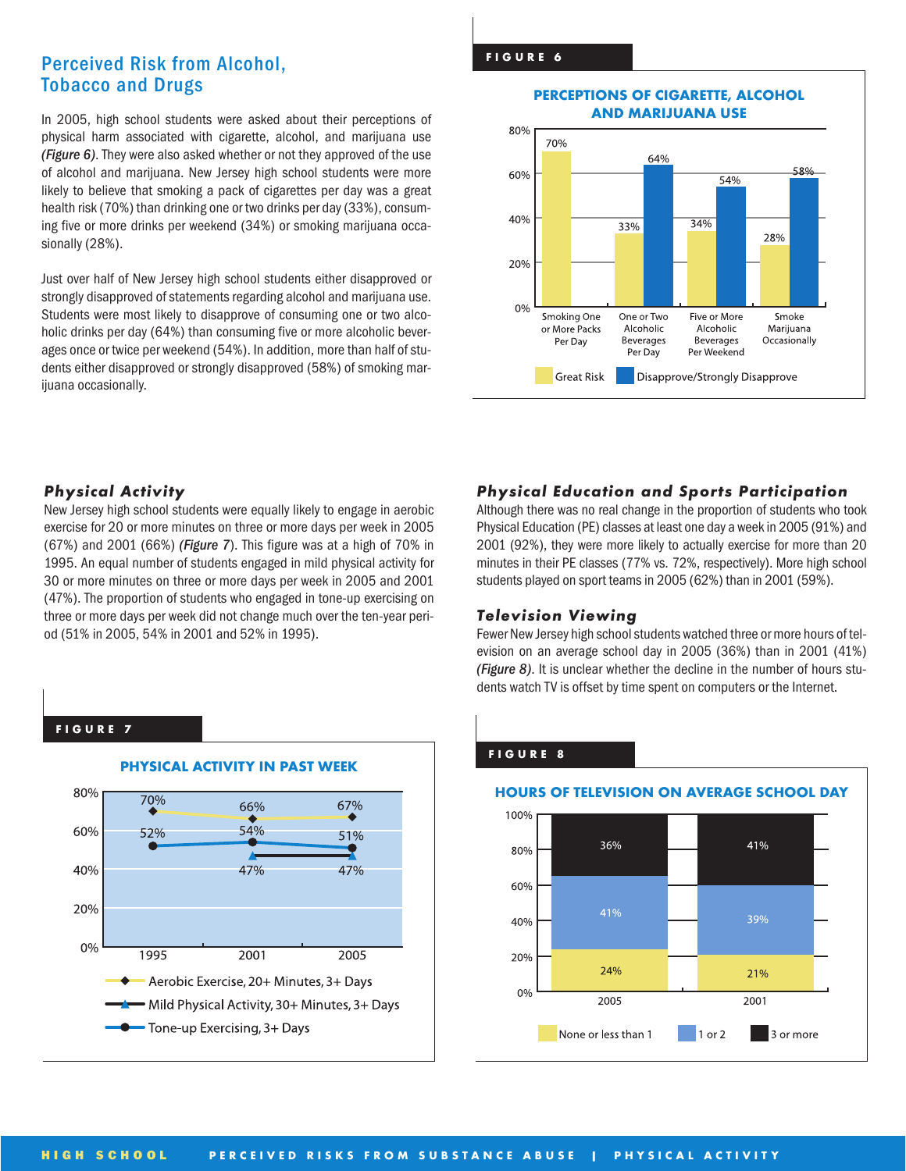### **Perceived Risk from Alcohol, Tobacco and Drugs**

In 2005, high school students were asked about their perceptions of physical harm associated with cigarette, alcohol, and marijuana use *(Figure 6)*. They were also asked whether or not they approved of the use of alcohol and marijuana. New Jersey high school students were more likely to believe that smoking a pack of cigarettes per day was a great health risk (70%) than drinking one or two drinks per day (33%), consuming five or more drinks per weekend (34%) or smoking marijuana occasionally (28%).

Just over half of New Jersey high school students either disapproved or strongly disapproved of statements regarding alcohol and marijuana use. Students were most likely to disapprove of consuming one or two alcoholic drinks per day (64%) than consuming five or more alcoholic beverages once or twice per weekend (54%). In addition, more than half of students either disapproved or strongly disapproved (58%) of smoking marijuana occasionally.

#### **PERCEPTIONS OF CIGARETTE, ALCOHOL AND MARIJUANA USE**



### *Physical Activity*

New Jersey high school students were equally likely to engage in aerobic exercise for 20 or more minutes on three or more days per week in 2005 (67%) and 2001 (66%) *(Figure 7*). This figure was at a high of 70% in 1995. An equal number of students engaged in mild physical activity for 30 or more minutes on three or more days per week in 2005 and 2001 (47%). The proportion of students who engaged in tone-up exercising on three or more days per week did not change much over the ten-year period (51% in 2005, 54% in 2001 and 52% in 1995).

### *Physical Education and Sports Participation*

Although there was no real change in the proportion of students who took Physical Education (PE) classes at least one day a week in 2005 (91%) and 2001 (92%), they were more likely to actually exercise for more than 20 minutes in their PE classes (77% vs. 72%, respectively). More high school students played on sport teams in 2005 (62%) than in 2001 (59%).

#### *Television Viewing*

Fewer New Jersey high school students watched three or more hours of television on an average school day in 2005 (36%) than in 2001 (41%) *(Figure 8)*. It is unclear whether the decline in the number of hours students watch TV is offset by time spent on computers or the Internet.

#### **FIGURE 7**



#### **FIGURE 8**

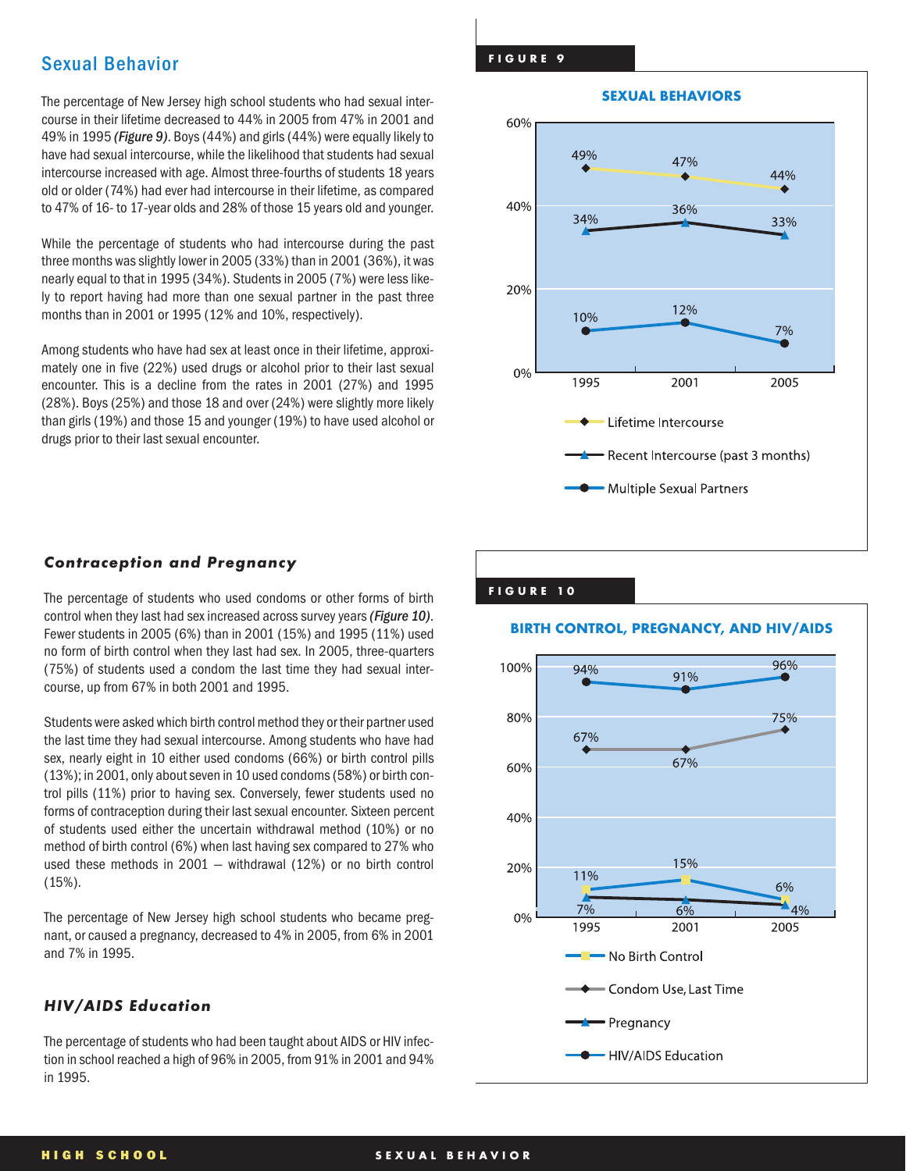### **Sexual Behavior**

The percentage of New Jersey high school students who had sexual intercourse in their lifetime decreased to 44% in 2005 from 47% in 2001 and 49% in 1995 *(Figure 9)*. Boys (44%) and girls (44%) were equally likely to have had sexual intercourse, while the likelihood that students had sexual intercourse increased with age. Almost three-fourths of students 18 years old or older (74%) had ever had intercourse in their lifetime, as compared to 47% of 16- to 17-year olds and 28% of those 15 years old and younger.

While the percentage of students who had intercourse during the past three months was slightly lower in 2005 (33%) than in 2001 (36%), it was nearly equal to that in 1995 (34%). Students in 2005 (7%) were less likely to report having had more than one sexual partner in the past three months than in 2001 or 1995 (12% and 10%, respectively).

Among students who have had sex at least once in their lifetime, approximately one in five (22%) used drugs or alcohol prior to their last sexual encounter. This is a decline from the rates in 2001 (27%) and 1995 (28%). Boys (25%) and those 18 and over (24%) were slightly more likely than girls (19%) and those 15 and younger (19%) to have used alcohol or drugs prior to their last sexual encounter.

#### **FIGURE 9**



#### *Contraception and Pregnancy*

The percentage of students who used condoms or other forms of birth control when they last had sex increased across survey years *(Figure 10)*. Fewer students in 2005 (6%) than in 2001 (15%) and 1995 (11%) used no form of birth control when they last had sex. In 2005, three-quarters (75%) of students used a condom the last time they had sexual intercourse, up from 67% in both 2001 and 1995.

Students were asked which birth control method they or their partner used the last time they had sexual intercourse. Among students who have had sex, nearly eight in 10 either used condoms (66%) or birth control pills (13%); in 2001, only about seven in 10 used condoms (58%) or birth control pills (11%) prior to having sex. Conversely, fewer students used no forms of contraception during their last sexual encounter. Sixteen percent of students used either the uncertain withdrawal method (10%) or no method of birth control (6%) when last having sex compared to 27% who used these methods in 2001 — withdrawal (12%) or no birth control (15%).

The percentage of New Jersey high school students who became pregnant, or caused a pregnancy, decreased to 4% in 2005, from 6% in 2001 and 7% in 1995.

#### *HIV/AIDS Education*

The percentage of students who had been taught about AIDS or HIV infection in school reached a high of 96% in 2005, from 91% in 2001 and 94% in 1995.

#### **FIGURE 10**



#### **HIGH SCHOOL SEXUAL BEHAVIOR**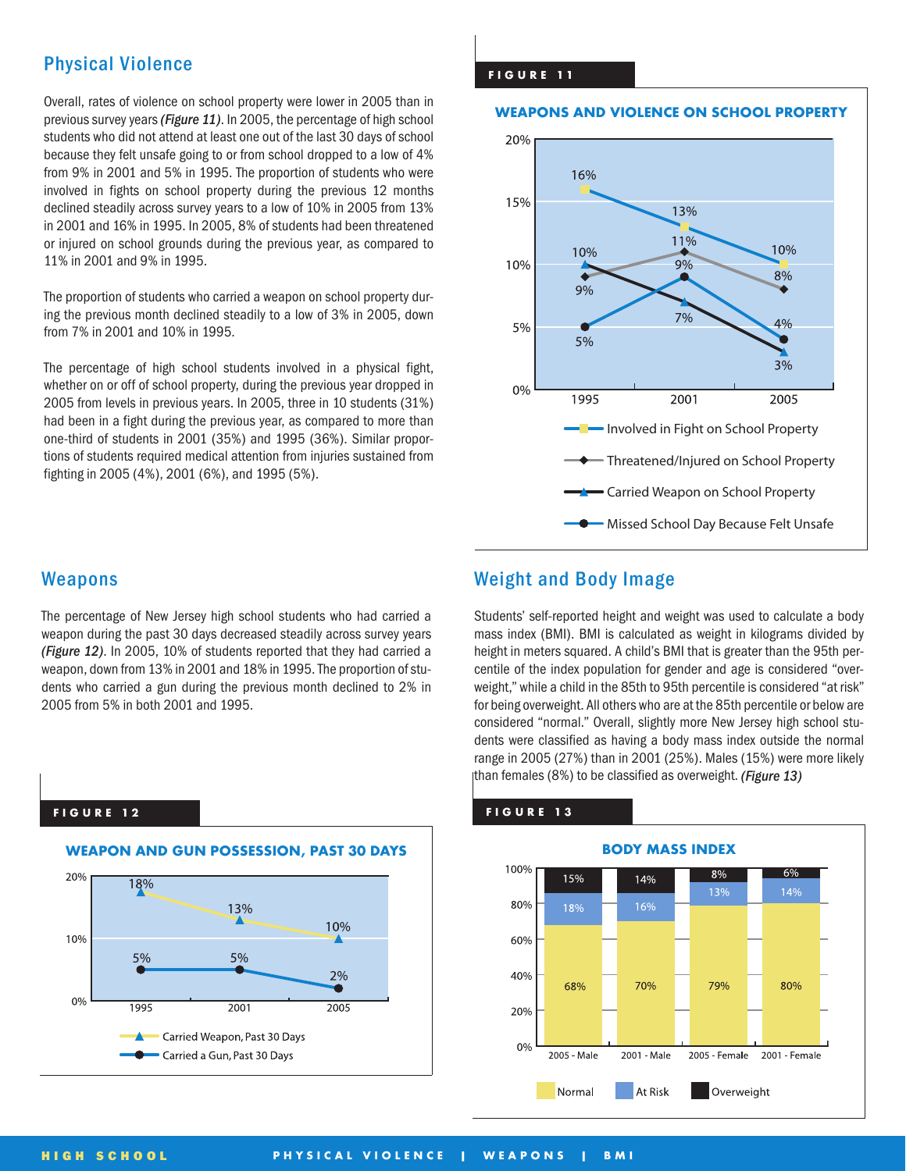### **Physical Violence**

Overall, rates of violence on school property were lower in 2005 than in previous survey years *(Figure 11)*. In 2005, the percentage of high school students who did not attend at least one out of the last 30 days of school because they felt unsafe going to or from school dropped to a low of 4% from 9% in 2001 and 5% in 1995. The proportion of students who were involved in fights on school property during the previous 12 months declined steadily across survey years to a low of 10% in 2005 from 13% in 2001 and 16% in 1995. In 2005, 8% of students had been threatened or injured on school grounds during the previous year, as compared to 11% in 2001 and 9% in 1995.

The proportion of students who carried a weapon on school property during the previous month declined steadily to a low of 3% in 2005, down from 7% in 2001 and 10% in 1995.

The percentage of high school students involved in a physical fight, whether on or off of school property, during the previous year dropped in 2005 from levels in previous years. In 2005, three in 10 students (31%) had been in a fight during the previous year, as compared to more than one-third of students in 2001 (35%) and 1995 (36%). Similar proportions of students required medical attention from injuries sustained from fighting in 2005 (4%), 2001 (6%), and 1995 (5%).

#### **FIGURE 11**

#### **WEAPONS AND VIOLENCE ON SCHOOL PROPERTY**



### **Weapons**

The percentage of New Jersey high school students who had carried a weapon during the past 30 days decreased steadily across survey years *(Figure 12)*. In 2005, 10% of students reported that they had carried a weapon, down from 13% in 2001 and 18% in 1995. The proportion of students who carried a gun during the previous month declined to 2% in 2005 from 5% in both 2001 and 1995.

#### **FIGURE 1 2**



### **Weight and Body Image**

Students' self-reported height and weight was used to calculate a body mass index (BMI). BMI is calculated as weight in kilograms divided by height in meters squared. A child's BMI that is greater than the 95th percentile of the index population for gender and age is considered "overweight," while a child in the 85th to 95th percentile is considered "at risk" for being overweight. All others who are at the 85th percentile or below are considered "normal." Overall, slightly more New Jersey high school students were classified as having a body mass index outside the normal range in 2005 (27%) than in 2001 (25%). Males (15%) were more likely than females (8%) to be classified as overweight. *(Figure 13)*

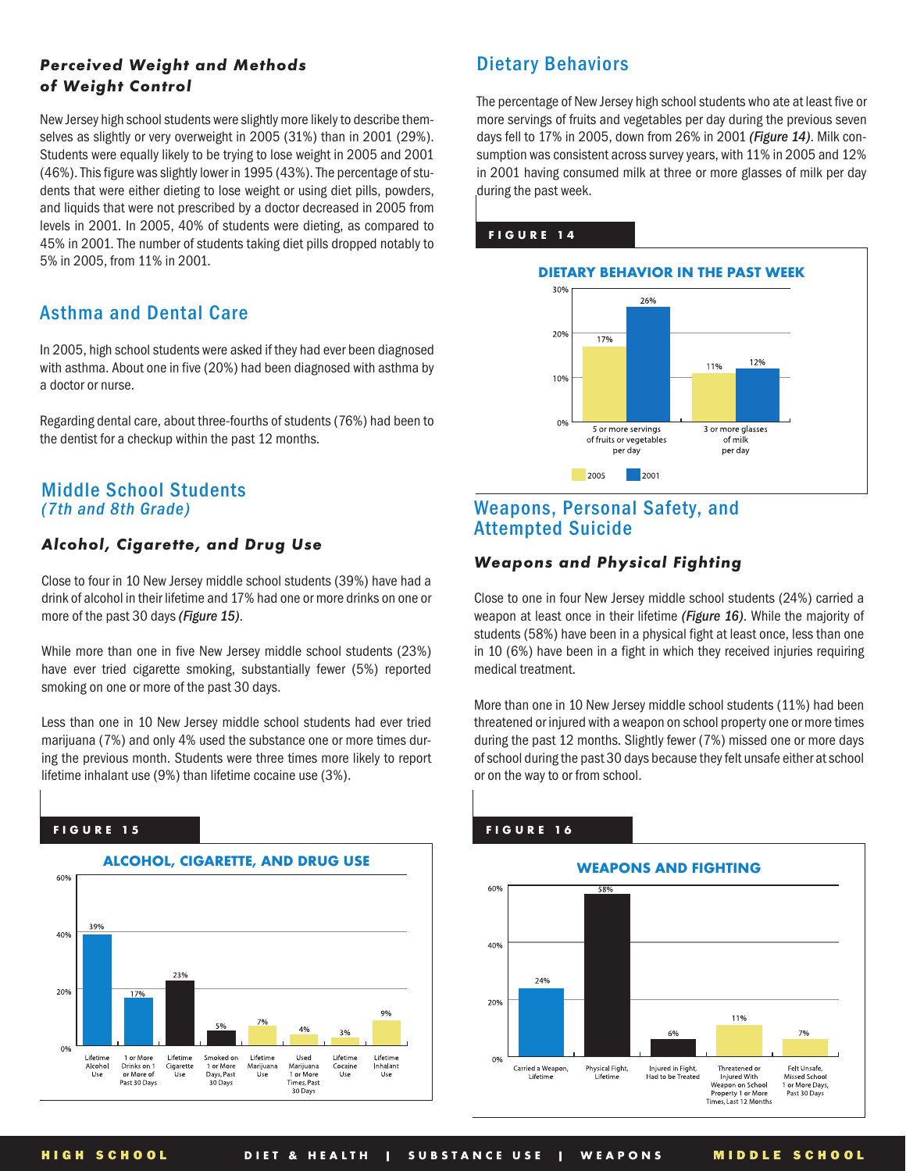### *Perceived Weight and Methods of Weight Control*

New Jersey high school students were slightly more likely to describe themselves as slightly or very overweight in 2005 (31%) than in 2001 (29%). Students were equally likely to be trying to lose weight in 2005 and 2001 (46%). This figure was slightly lower in 1995 (43%). The percentage of students that were either dieting to lose weight or using diet pills, powders, and liquids that were not prescribed by a doctor decreased in 2005 from levels in 2001. In 2005, 40% of students were dieting, as compared to 45% in 2001. The number of students taking diet pills dropped notably to 5% in 2005, from 11% in 2001.

### **Asthma and Dental Care**

In 2005, high school students were asked if they had ever been diagnosed with asthma. About one in five (20%) had been diagnosed with asthma by a doctor or nurse.

Regarding dental care, about three-fourths of students (76%) had been to the dentist for a checkup within the past 12 months.

### **Middle School Students** *(7th and 8th Grade)*

### *Alcohol, Cigarette, and Drug Use*

Close to four in 10 New Jersey middle school students (39%) have had a drink of alcohol in their lifetime and 17% had one or more drinks on one or more of the past 30 days *(Figure 15)*.

While more than one in five New Jersey middle school students (23%) have ever tried cigarette smoking, substantially fewer (5%) reported smoking on one or more of the past 30 days.

Less than one in 10 New Jersey middle school students had ever tried marijuana (7%) and only 4% used the substance one or more times during the previous month. Students were three times more likely to report lifetime inhalant use (9%) than lifetime cocaine use (3%).

### **FIGURE 15**



### **Dietary Behaviors**

The percentage of New Jersey high school students who ate at least five or more servings of fruits and vegetables per day during the previous seven days fell to 17% in 2005, down from 26% in 2001 *(Figure 14)*. Milk consumption was consistent across survey years, with 11% in 2005 and 12% in 2001 having consumed milk at three or more glasses of milk per day during the past week.

#### **FIGURE 14**



### **Weapons, Personal Safety, and Attempted Suicide**

### *Weapons and Physical Fighting*

Close to one in four New Jersey middle school students (24%) carried a weapon at least once in their lifetime *(Figure 16)*. While the majority of students (58%) have been in a physical fight at least once, less than one in 10 (6%) have been in a fight in which they received injuries requiring medical treatment.

More than one in 10 New Jersey middle school students (11%) had been threatened or injured with a weapon on school property one or more times during the past 12 months. Slightly fewer (7%) missed one or more days of school during the past 30 days because they felt unsafe either at school or on the way to or from school.

#### **WEAPONS AND FIGHTING** 60% 40% 24% 20% 11% 6% 7% 0% Physical Fight,<br>Lifetime Injured in Fight,<br>Had to be Treated Carried a Weapon Threatened o Felt Unsafe,<br>Missed School Inteatened or<br>
Injured With<br>
Weapon on School<br>
Property 1 or More<br>
Times, Last 12 Months or More Days<br>Past 30 Days

### **FIGURE 16**

**HIGH SCHOOL DIET & HEALTH | SUBSTANCE USE | WEAPONS MIDDLE SCHOOL**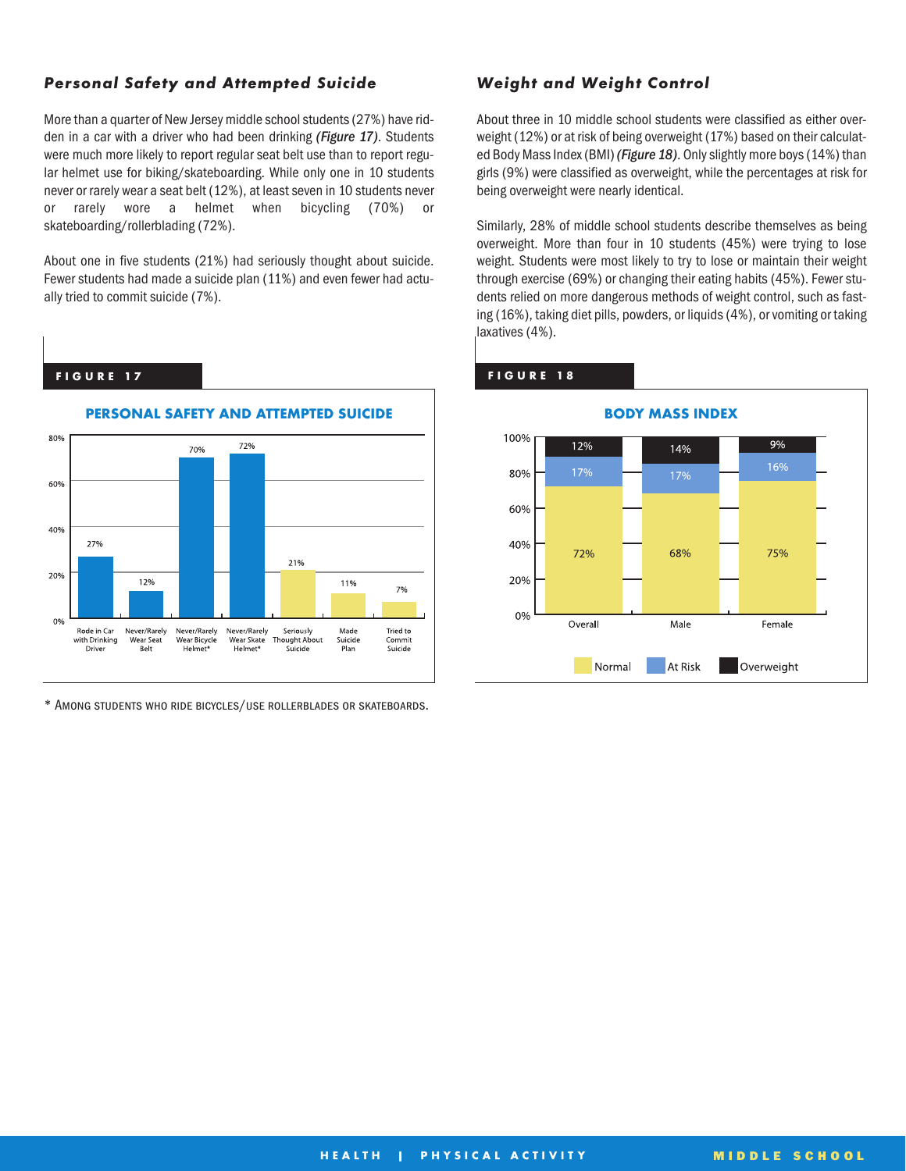### *Personal Safety and Attempted Suicide*

More than a quarter of New Jersey middle school students (27%) have ridden in a car with a driver who had been drinking *(Figure 17)*. Students were much more likely to report regular seat belt use than to report regular helmet use for biking/skateboarding. While only one in 10 students never or rarely wear a seat belt (12%), at least seven in 10 students never or rarely wore a helmet when bicycling (70%) or skateboarding/rollerblading (72%).

About one in five students (21%) had seriously thought about suicide. Fewer students had made a suicide plan (11%) and even fewer had actually tried to commit suicide (7%).

#### **FIGURE 17**



\* Among students who ride bicycles/use rollerblades or skateboards.

### *Weight and Weight Control*

About three in 10 middle school students were classified as either overweight (12%) or at risk of being overweight (17%) based on their calculated Body Mass Index (BMI) *(Figure 18)*. Only slightly more boys (14%) than girls (9%) were classified as overweight, while the percentages at risk for being overweight were nearly identical.

Similarly, 28% of middle school students describe themselves as being overweight. More than four in 10 students (45%) were trying to lose weight. Students were most likely to try to lose or maintain their weight through exercise (69%) or changing their eating habits (45%). Fewer students relied on more dangerous methods of weight control, such as fasting (16%), taking diet pills, powders, or liquids (4%), or vomiting or taking laxatives (4%).